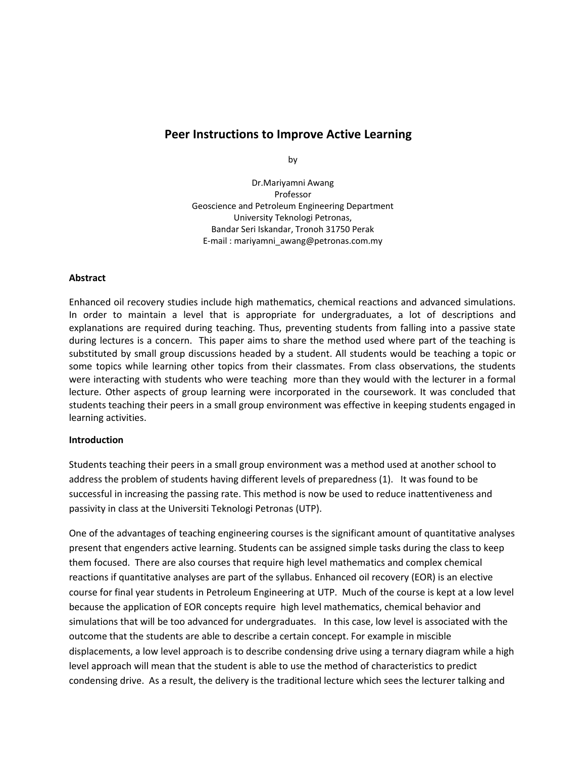# **Peer Instructions to Improve Active Learning**

by

Dr.Mariyamni Awang Professor Geoscience and Petroleum Engineering Department University Teknologi Petronas, Bandar Seri Iskandar, Tronoh 31750 Perak E-mail : mariyamni\_awang@petronas.com.my

#### **Abstract**

Enhanced oil recovery studies include high mathematics, chemical reactions and advanced simulations. In order to maintain a level that is appropriate for undergraduates, a lot of descriptions and explanations are required during teaching. Thus, preventing students from falling into a passive state during lectures is a concern. This paper aims to share the method used where part of the teaching is substituted by small group discussions headed by a student. All students would be teaching a topic or some topics while learning other topics from their classmates. From class observations, the students were interacting with students who were teaching more than they would with the lecturer in a formal lecture. Other aspects of group learning were incorporated in the coursework. It was concluded that students teaching their peers in a small group environment was effective in keeping students engaged in learning activities.

#### **Introduction**

Students teaching their peers in a small group environment was a method used at another school to address the problem of students having different levels of preparedness (1). It was found to be successful in increasing the passing rate. This method is now be used to reduce inattentiveness and passivity in class at the Universiti Teknologi Petronas (UTP).

One of the advantages of teaching engineering courses is the significant amount of quantitative analyses present that engenders active learning. Students can be assigned simple tasks during the class to keep them focused. There are also courses that require high level mathematics and complex chemical reactions if quantitative analyses are part of the syllabus. Enhanced oil recovery (EOR) is an elective course for final year students in Petroleum Engineering at UTP. Much of the course is kept at a low level because the application of EOR concepts require high level mathematics, chemical behavior and simulations that will be too advanced for undergraduates. In this case, low level is associated with the outcome that the students are able to describe a certain concept. For example in miscible displacements, a low level approach is to describe condensing drive using a ternary diagram while a high level approach will mean that the student is able to use the method of characteristics to predict condensing drive. As a result, the delivery is the traditional lecture which sees the lecturer talking and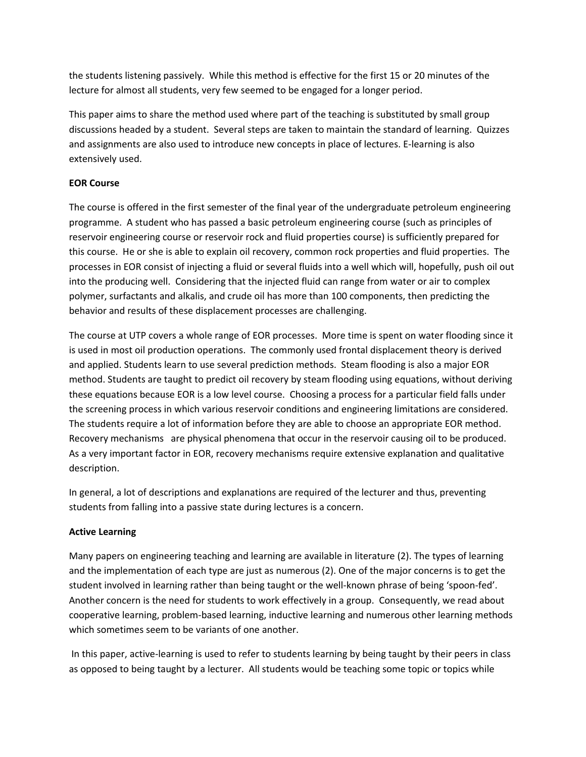the students listening passively. While this method is effective for the first 15 or 20 minutes of the lecture for almost all students, very few seemed to be engaged for a longer period.

This paper aims to share the method used where part of the teaching is substituted by small group discussions headed by a student. Several steps are taken to maintain the standard of learning. Quizzes and assignments are also used to introduce new concepts in place of lectures. E-learning is also extensively used.

## **EOR Course**

The course is offered in the first semester of the final year of the undergraduate petroleum engineering programme. A student who has passed a basic petroleum engineering course (such as principles of reservoir engineering course or reservoir rock and fluid properties course) is sufficiently prepared for this course. He or she is able to explain oil recovery, common rock properties and fluid properties. The processes in EOR consist of injecting a fluid or several fluids into a well which will, hopefully, push oil out into the producing well. Considering that the injected fluid can range from water or air to complex polymer, surfactants and alkalis, and crude oil has more than 100 components, then predicting the behavior and results of these displacement processes are challenging.

The course at UTP covers a whole range of EOR processes. More time is spent on water flooding since it is used in most oil production operations. The commonly used frontal displacement theory is derived and applied. Students learn to use several prediction methods. Steam flooding is also a major EOR method. Students are taught to predict oil recovery by steam flooding using equations, without deriving these equations because EOR is a low level course. Choosing a process for a particular field falls under the screening process in which various reservoir conditions and engineering limitations are considered. The students require a lot of information before they are able to choose an appropriate EOR method. Recovery mechanisms are physical phenomena that occur in the reservoir causing oil to be produced. As a very important factor in EOR, recovery mechanisms require extensive explanation and qualitative description.

In general, a lot of descriptions and explanations are required of the lecturer and thus, preventing students from falling into a passive state during lectures is a concern.

## **Active Learning**

Many papers on engineering teaching and learning are available in literature (2). The types of learning and the implementation of each type are just as numerous (2). One of the major concerns is to get the student involved in learning rather than being taught or the well-known phrase of being 'spoon-fed'. Another concern is the need for students to work effectively in a group. Consequently, we read about cooperative learning, problem-based learning, inductive learning and numerous other learning methods which sometimes seem to be variants of one another.

In this paper, active-learning is used to refer to students learning by being taught by their peers in class as opposed to being taught by a lecturer. All students would be teaching some topic or topics while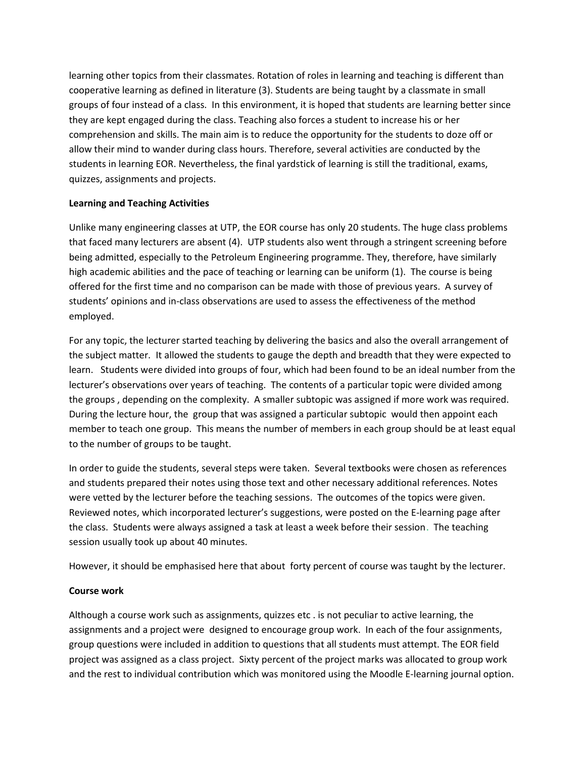learning other topics from their classmates. Rotation of roles in learning and teaching is different than cooperative learning as defined in literature (3). Students are being taught by a classmate in small groups of four instead of a class. In this environment, it is hoped that students are learning better since they are kept engaged during the class. Teaching also forces a student to increase his or her comprehension and skills. The main aim is to reduce the opportunity for the students to doze off or allow their mind to wander during class hours. Therefore, several activities are conducted by the students in learning EOR. Nevertheless, the final yardstick of learning is still the traditional, exams, quizzes, assignments and projects.

## **Learning and Teaching Activities**

Unlike many engineering classes at UTP, the EOR course has only 20 students. The huge class problems that faced many lecturers are absent (4). UTP students also went through a stringent screening before being admitted, especially to the Petroleum Engineering programme. They, therefore, have similarly high academic abilities and the pace of teaching or learning can be uniform (1). The course is being offered for the first time and no comparison can be made with those of previous years. A survey of students' opinions and in-class observations are used to assess the effectiveness of the method employed.

For any topic, the lecturer started teaching by delivering the basics and also the overall arrangement of the subject matter. It allowed the students to gauge the depth and breadth that they were expected to learn. Students were divided into groups of four, which had been found to be an ideal number from the lecturer's observations over years of teaching. The contents of a particular topic were divided among the groups , depending on the complexity. A smaller subtopic was assigned if more work was required. During the lecture hour, the group that was assigned a particular subtopic would then appoint each member to teach one group. This means the number of members in each group should be at least equal to the number of groups to be taught.

In order to guide the students, several steps were taken. Several textbooks were chosen as references and students prepared their notes using those text and other necessary additional references. Notes were vetted by the lecturer before the teaching sessions. The outcomes of the topics were given. Reviewed notes, which incorporated lecturer's suggestions, were posted on the E-learning page after the class. Students were always assigned a task at least a week before their session. The teaching session usually took up about 40 minutes.

However, it should be emphasised here that about forty percent of course was taught by the lecturer.

## **Course work**

Although a course work such as assignments, quizzes etc . is not peculiar to active learning, the assignments and a project were designed to encourage group work. In each of the four assignments, group questions were included in addition to questions that all students must attempt. The EOR field project was assigned as a class project. Sixty percent of the project marks was allocated to group work and the rest to individual contribution which was monitored using the Moodle E-learning journal option.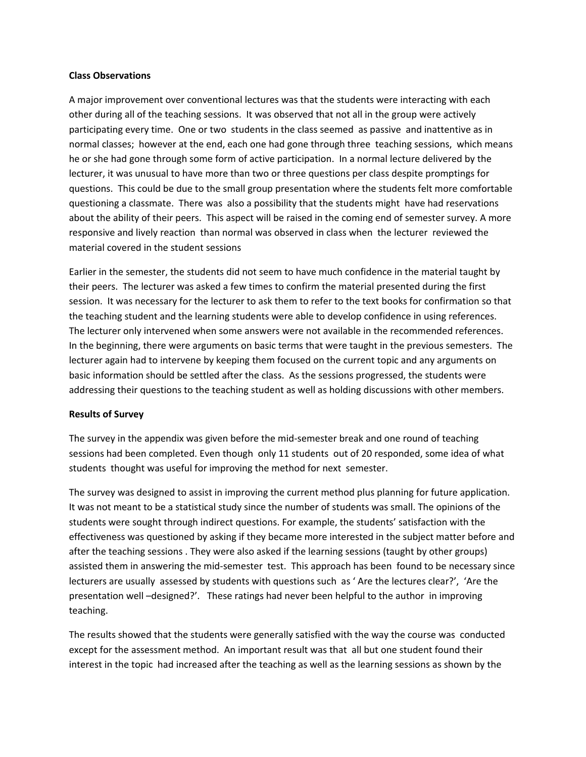#### **Class Observations**

A major improvement over conventional lectures was that the students were interacting with each other during all of the teaching sessions. It was observed that not all in the group were actively participating every time. One or two students in the class seemed as passive and inattentive as in normal classes; however at the end, each one had gone through three teaching sessions, which means he or she had gone through some form of active participation. In a normal lecture delivered by the lecturer, it was unusual to have more than two or three questions per class despite promptings for questions. This could be due to the small group presentation where the students felt more comfortable questioning a classmate. There was also a possibility that the students might have had reservations about the ability of their peers. This aspect will be raised in the coming end of semester survey. A more responsive and lively reaction than normal was observed in class when the lecturer reviewed the material covered in the student sessions

Earlier in the semester, the students did not seem to have much confidence in the material taught by their peers. The lecturer was asked a few times to confirm the material presented during the first session. It was necessary for the lecturer to ask them to refer to the text books for confirmation so that the teaching student and the learning students were able to develop confidence in using references. The lecturer only intervened when some answers were not available in the recommended references. In the beginning, there were arguments on basic terms that were taught in the previous semesters. The lecturer again had to intervene by keeping them focused on the current topic and any arguments on basic information should be settled after the class. As the sessions progressed, the students were addressing their questions to the teaching student as well as holding discussions with other members.

#### **Results of Survey**

The survey in the appendix was given before the mid-semester break and one round of teaching sessions had been completed. Even though only 11 students out of 20 responded, some idea of what students thought was useful for improving the method for next semester.

The survey was designed to assist in improving the current method plus planning for future application. It was not meant to be a statistical study since the number of students was small. The opinions of the students were sought through indirect questions. For example, the students' satisfaction with the effectiveness was questioned by asking if they became more interested in the subject matter before and after the teaching sessions . They were also asked if the learning sessions (taught by other groups) assisted them in answering the mid-semester test. This approach has been found to be necessary since lecturers are usually assessed by students with questions such as ' Are the lectures clear?', 'Are the presentation well –designed?'. These ratings had never been helpful to the author in improving teaching.

The results showed that the students were generally satisfied with the way the course was conducted except for the assessment method. An important result was that all but one student found their interest in the topic had increased after the teaching as well as the learning sessions as shown by the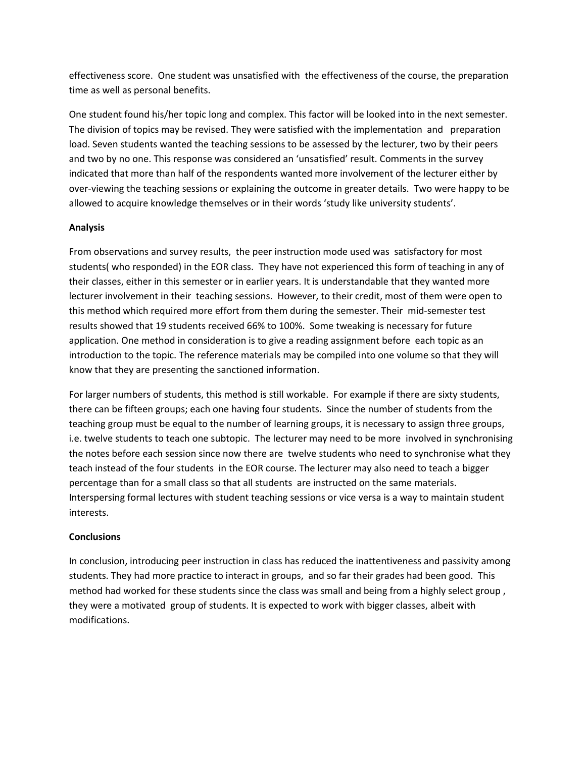effectiveness score. One student was unsatisfied with the effectiveness of the course, the preparation time as well as personal benefits.

One student found his/her topic long and complex. This factor will be looked into in the next semester. The division of topics may be revised. They were satisfied with the implementation and preparation load. Seven students wanted the teaching sessions to be assessed by the lecturer, two by their peers and two by no one. This response was considered an 'unsatisfied' result. Comments in the survey indicated that more than half of the respondents wanted more involvement of the lecturer either by over-viewing the teaching sessions or explaining the outcome in greater details. Two were happy to be allowed to acquire knowledge themselves or in their words 'study like university students'.

## **Analysis**

From observations and survey results, the peer instruction mode used was satisfactory for most students( who responded) in the EOR class. They have not experienced this form of teaching in any of their classes, either in this semester or in earlier years. It is understandable that they wanted more lecturer involvement in their teaching sessions. However, to their credit, most of them were open to this method which required more effort from them during the semester. Their mid-semester test results showed that 19 students received 66% to 100%. Some tweaking is necessary for future application. One method in consideration is to give a reading assignment before each topic as an introduction to the topic. The reference materials may be compiled into one volume so that they will know that they are presenting the sanctioned information.

For larger numbers of students, this method is still workable. For example if there are sixty students, there can be fifteen groups; each one having four students. Since the number of students from the teaching group must be equal to the number of learning groups, it is necessary to assign three groups, i.e. twelve students to teach one subtopic. The lecturer may need to be more involved in synchronising the notes before each session since now there are twelve students who need to synchronise what they teach instead of the four students in the EOR course. The lecturer may also need to teach a bigger percentage than for a small class so that all students are instructed on the same materials. Interspersing formal lectures with student teaching sessions or vice versa is a way to maintain student interests.

## **Conclusions**

In conclusion, introducing peer instruction in class has reduced the inattentiveness and passivity among students. They had more practice to interact in groups, and so far their grades had been good. This method had worked for these students since the class was small and being from a highly select group , they were a motivated group of students. It is expected to work with bigger classes, albeit with modifications.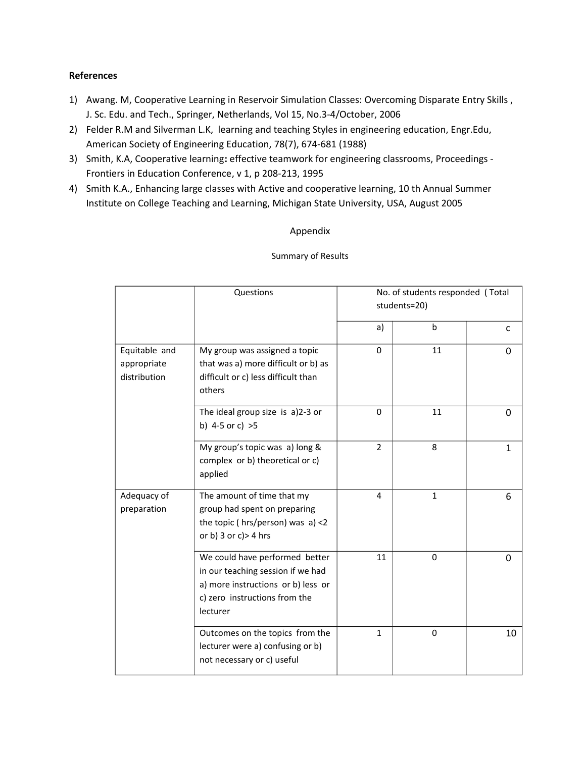## **References**

- 1) Awang. M, Cooperative Learning in Reservoir Simulation Classes: Overcoming Disparate Entry Skills , J. Sc. Edu. and Tech., Springer, Netherlands, Vol 15, No.3-4/October, 2006
- 2) Felder R.M and Silverman L.K, learning and teaching Styles in engineering education, Engr.Edu, American Society of Engineering Education, 78(7), 674-681 (1988)
- 3) Smith, K.A, Cooperative learning**:** effective teamwork for engineering classrooms, Proceedings Frontiers in Education Conference, v 1, p 208-213, 1995
- 4) Smith K.A., Enhancing large classes with Active and cooperative learning, 10 th Annual Summer Institute on College Teaching and Learning, Michigan State University, USA, August 2005

## Appendix

### Summary of Results

|                                              | Questions                                                                                                                                              | No. of students responded (Total<br>students=20) |              |          |
|----------------------------------------------|--------------------------------------------------------------------------------------------------------------------------------------------------------|--------------------------------------------------|--------------|----------|
|                                              |                                                                                                                                                        | a)                                               | $\mathbf b$  | c        |
| Equitable and<br>appropriate<br>distribution | My group was assigned a topic<br>that was a) more difficult or b) as<br>difficult or c) less difficult than<br>others                                  | $\Omega$                                         | 11           | $\Omega$ |
|                                              | The ideal group size is a)2-3 or<br>b) 4-5 or c) $>5$                                                                                                  | 0                                                | 11           | 0        |
|                                              | My group's topic was a) long &<br>complex or b) theoretical or c)<br>applied                                                                           | $\overline{2}$                                   | 8            | 1        |
| Adequacy of<br>preparation                   | The amount of time that my<br>group had spent on preparing<br>the topic ( $hrs/person$ ) was $a$ ) <2<br>or b) $3$ or c) > $4$ hrs                     | 4                                                | $\mathbf{1}$ | 6        |
|                                              | We could have performed better<br>in our teaching session if we had<br>a) more instructions or b) less or<br>c) zero instructions from the<br>lecturer | 11                                               | $\Omega$     | $\Omega$ |
|                                              | Outcomes on the topics from the<br>lecturer were a) confusing or b)<br>not necessary or c) useful                                                      | 1                                                | 0            | 10       |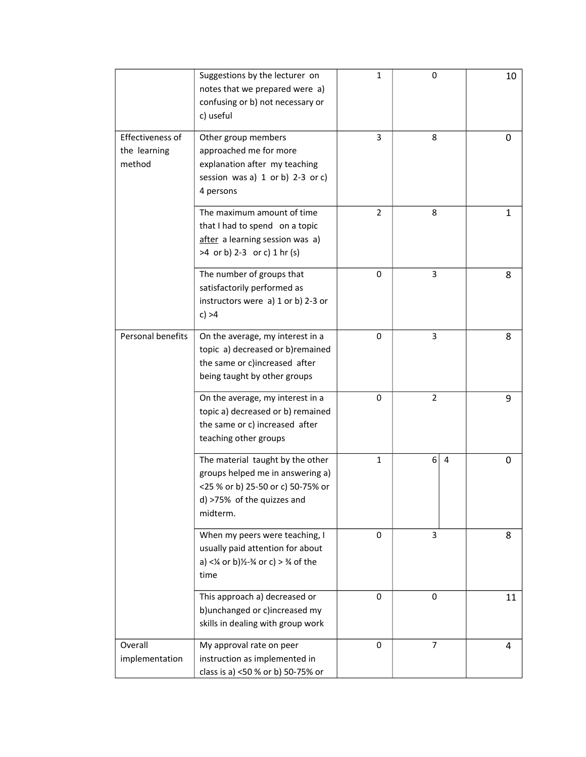|                                            | Suggestions by the lecturer on<br>notes that we prepared were a)<br>confusing or b) not necessary or<br>c) useful                                                 | $\mathbf{1}$ | $\boldsymbol{0}$ | 10 |
|--------------------------------------------|-------------------------------------------------------------------------------------------------------------------------------------------------------------------|--------------|------------------|----|
| Effectiveness of<br>the learning<br>method | Other group members<br>approached me for more<br>explanation after my teaching<br>session was a) 1 or b) 2-3 or c)<br>4 persons                                   | 3            | 8                | 0  |
|                                            | The maximum amount of time<br>that I had to spend on a topic<br>after a learning session was a)<br>>4 or b) 2-3 or c) 1 hr (s)                                    | 2            | 8                | 1  |
|                                            | The number of groups that<br>satisfactorily performed as<br>instructors were a) 1 or b) 2-3 or<br>c) > 4                                                          | 0            | 3                | 8  |
| Personal benefits                          | On the average, my interest in a<br>topic a) decreased or b)remained<br>the same or c)increased after<br>being taught by other groups                             | 0            | 3                | 8  |
|                                            | On the average, my interest in a<br>topic a) decreased or b) remained<br>the same or c) increased after<br>teaching other groups                                  | 0            | $\overline{2}$   | 9  |
|                                            | The material taught by the other<br>groups helped me in answering a)<br><25 % or b) 25-50 or c) 50-75% or<br>d) >75% of the quizzes and<br>midterm.               | 1            | 6<br>4           | 0  |
|                                            | When my peers were teaching, I<br>usually paid attention for about<br>a) < $\frac{1}{4}$ or b) $\frac{1}{2}$ - $\frac{3}{4}$ or c) > $\frac{3}{4}$ of the<br>time | 0            | 3                | 8  |
|                                            | This approach a) decreased or<br>b) unchanged or c) increased my<br>skills in dealing with group work                                                             | 0            | $\mathbf 0$      | 11 |
| Overall<br>implementation                  | My approval rate on peer<br>instruction as implemented in<br>class is a) <50 % or b) 50-75% or                                                                    | 0            | 7                | 4  |